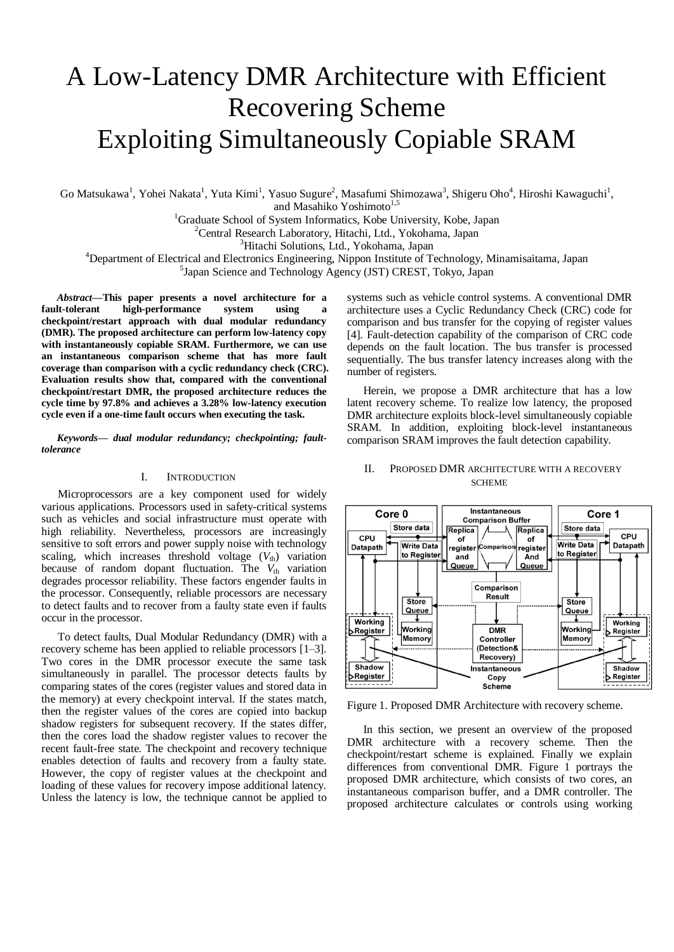# A Low-Latency DMR Architecture with Efficient Recovering Scheme Exploiting Simultaneously Copiable SRAM

Go Matsukawa<sup>1</sup>, Yohei Nakata<sup>1</sup>, Yuta Kimi<sup>1</sup>, Yasuo Sugure<sup>2</sup>, Masafumi Shimozawa<sup>3</sup>, Shigeru Oho<sup>4</sup>, Hiroshi Kawaguchi<sup>1</sup>, and Masahiko Yoshimoto<sup>1,5</sup>

<sup>1</sup>Graduate School of System Informatics, Kobe University, Kobe, Japan

 $2$ Central Research Laboratory, Hitachi, Ltd., Yokohama, Japan

<sup>3</sup>Hitachi Solutions, Ltd., Yokohama, Japan

<sup>4</sup>Department of Electrical and Electronics Engineering, Nippon Institute of Technology, Minamisaitama, Japan

5 Japan Science and Technology Agency (JST) CREST, Tokyo, Japan

*Abstract***—This paper presents a novel architecture for a fault-tolerant high-performance system using a checkpoint/restart approach with dual modular redundancy (DMR). The proposed architecture can perform low-latency copy with instantaneously copiable SRAM. Furthermore, we can use an instantaneous comparison scheme that has more fault coverage than comparison with a cyclic redundancy check (CRC). Evaluation results show that, compared with the conventional checkpoint/restart DMR, the proposed architecture reduces the cycle time by 97.8% and achieves a 3.28% low-latency execution cycle even if a one-time fault occurs when executing the task.**

*Keywords— dual modular redundancy; checkpointing; faulttolerance*

#### I. INTRODUCTION

Microprocessors are a key component used for widely various applications. Processors used in safety-critical systems such as vehicles and social infrastructure must operate with high reliability. Nevertheless, processors are increasingly sensitive to soft errors and power supply noise with technology scaling, which increases threshold voltage  $(V<sub>th</sub>)$  variation because of random dopant fluctuation. The V<sub>th</sub> variation degrades processor reliability. These factors engender faults in the processor. Consequently, reliable processors are necessary to detect faults and to recover from a faulty state even if faults occur in the processor.

To detect faults, Dual Modular Redundancy (DMR) with a recovery scheme has been applied to reliable processors [1–3]. Two cores in the DMR processor execute the same task simultaneously in parallel. The processor detects faults by comparing states of the cores (register values and stored data in the memory) at every checkpoint interval. If the states match, then the register values of the cores are copied into backup shadow registers for subsequent recovery. If the states differ, then the cores load the shadow register values to recover the recent fault-free state. The checkpoint and recovery technique enables detection of faults and recovery from a faulty state. However, the copy of register values at the checkpoint and loading of these values for recovery impose additional latency. Unless the latency is low, the technique cannot be applied to

systems such as vehicle control systems. A conventional DMR architecture uses a Cyclic Redundancy Check (CRC) code for comparison and bus transfer for the copying of register values [4]. Fault-detection capability of the comparison of CRC code depends on the fault location. The bus transfer is processed sequentially. The bus transfer latency increases along with the number of registers.

Herein, we propose a DMR architecture that has a low latent recovery scheme. To realize low latency, the proposed DMR architecture exploits block-level simultaneously copiable SRAM. In addition, exploiting block-level instantaneous comparison SRAM improves the fault detection capability.

# II. PROPOSED DMR ARCHITECTURE WITH A RECOVERY **SCHEME**



Figure 1. Proposed DMR Architecture with recovery scheme.

In this section, we present an overview of the proposed DMR architecture with a recovery scheme. Then the checkpoint/restart scheme is explained. Finally we explain differences from conventional DMR. Figure 1 portrays the proposed DMR architecture, which consists of two cores, an instantaneous comparison buffer, and a DMR controller. The proposed architecture calculates or controls using working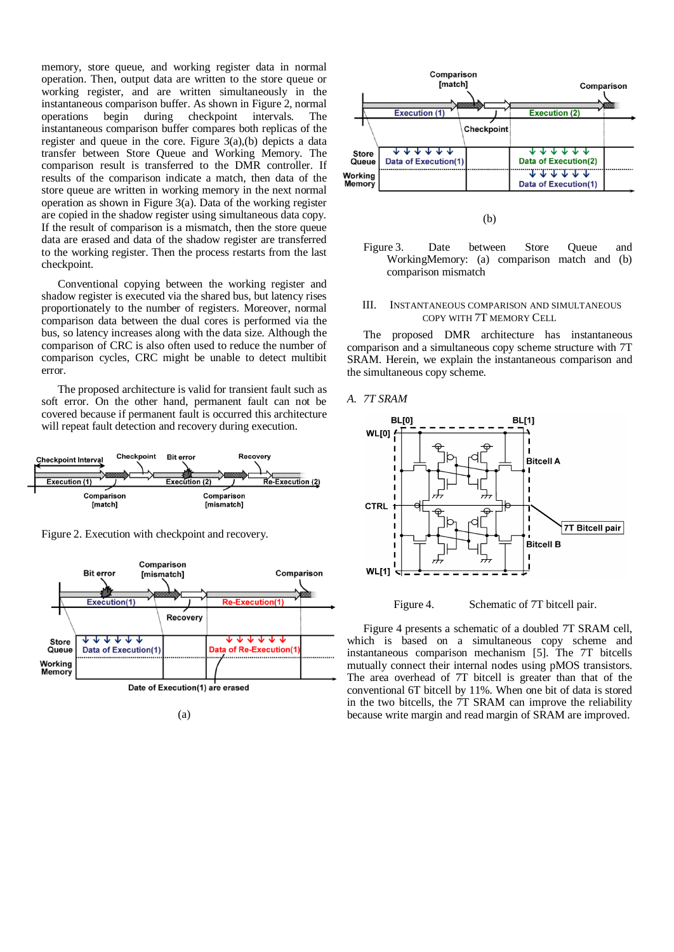memory, store queue, and working register data in normal operation. Then, output data are written to the store queue or working register, and are written simultaneously in the instantaneous comparison buffer. As shown in Figure 2, normal operations begin during checkpoint intervals. The instantaneous comparison buffer compares both replicas of the register and queue in the core. Figure 3(a),(b) depicts a data transfer between Store Queue and Working Memory. The comparison result is transferred to the DMR controller. If results of the comparison indicate a match, then data of the store queue are written in working memory in the next normal operation as shown in Figure 3(a). Data of the working register are copied in the shadow register using simultaneous data copy. If the result of comparison is a mismatch, then the store queue data are erased and data of the shadow register are transferred to the working register. Then the process restarts from the last checkpoint.

Conventional copying between the working register and shadow register is executed via the shared bus, but latency rises proportionately to the number of registers. Moreover, normal comparison data between the dual cores is performed via the bus, so latency increases along with the data size. Although the comparison of CRC is also often used to reduce the number of comparison cycles, CRC might be unable to detect multibit error.

The proposed architecture is valid for transient fault such as soft error. On the other hand, permanent fault can not be covered because if permanent fault is occurred this architecture will repeat fault detection and recovery during execution.



Figure 2. Execution with checkpoint and recovery.







(b)

Figure 3. Date between Store Queue and WorkingMemory: (a) comparison match and (b) comparison mismatch

# III. INSTANTANEOUS COMPARISON AND SIMULTANEOUS COPY WITH 7T MEMORY CELL

The proposed DMR architecture has instantaneous comparison and a simultaneous copy scheme structure with 7T SRAM. Herein, we explain the instantaneous comparison and the simultaneous copy scheme.

#### *A. 7T SRAM*



Figure 4. Schematic of 7T bitcell pair.

Figure 4 presents a schematic of a doubled 7T SRAM cell, which is based on a simultaneous copy scheme and instantaneous comparison mechanism [5]. The 7T bitcells mutually connect their internal nodes using pMOS transistors. The area overhead of 7T bitcell is greater than that of the conventional 6T bitcell by 11%. When one bit of data is stored in the two bitcells, the 7T SRAM can improve the reliability because write margin and read margin of SRAM are improved.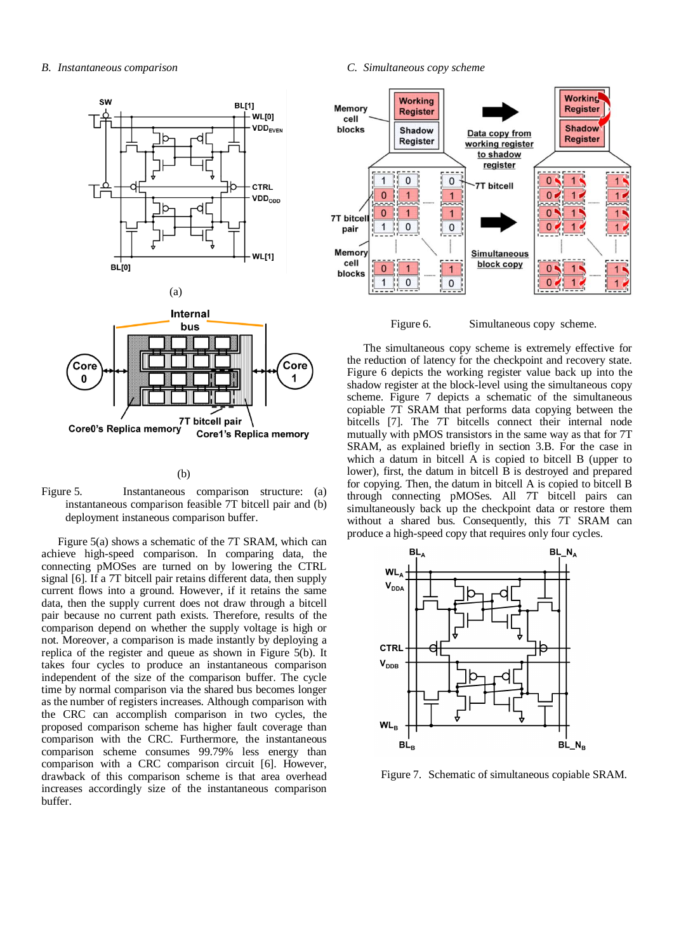





#### (b)

Figure 5. Instantaneous comparison structure: (a) instantaneous comparison feasible 7T bitcell pair and (b) deployment instaneous comparison buffer.

Figure 5(a) shows a schematic of the 7T SRAM, which can achieve high-speed comparison. In comparing data, the connecting pMOSes are turned on by lowering the CTRL signal [6]. If a 7T bitcell pair retains different data, then supply current flows into a ground. However, if it retains the same data, then the supply current does not draw through a bitcell pair because no current path exists. Therefore, results of the comparison depend on whether the supply voltage is high or not. Moreover, a comparison is made instantly by deploying a replica of the register and queue as shown in Figure 5(b). It takes four cycles to produce an instantaneous comparison independent of the size of the comparison buffer. The cycle time by normal comparison via the shared bus becomes longer as the number of registers increases. Although comparison with the CRC can accomplish comparison in two cycles, the proposed comparison scheme has higher fault coverage than comparison with the CRC. Furthermore, the instantaneous comparison scheme consumes 99.79% less energy than comparison with a CRC comparison circuit [6]. However, drawback of this comparison scheme is that area overhead increases accordingly size of the instantaneous comparison buffer.

### *C. Simultaneous copy scheme*



Figure 6. Simultaneous copy scheme.

The simultaneous copy scheme is extremely effective for the reduction of latency for the checkpoint and recovery state. Figure 6 depicts the working register value back up into the shadow register at the block-level using the simultaneous copy scheme. Figure 7 depicts a schematic of the simultaneous copiable 7T SRAM that performs data copying between the bitcells [7]. The 7T bitcells connect their internal node mutually with pMOS transistors in the same way as that for 7T SRAM, as explained briefly in section 3.B. For the case in which a datum in bitcell A is copied to bitcell B (upper to lower), first, the datum in bitcell B is destroyed and prepared for copying. Then, the datum in bitcell A is copied to bitcell B through connecting pMOSes. All 7T bitcell pairs can simultaneously back up the checkpoint data or restore them without a shared bus. Consequently, this 7T SRAM can produce a high-speed copy that requires only four cycles.



Figure 7. Schematic of simultaneous copiable SRAM.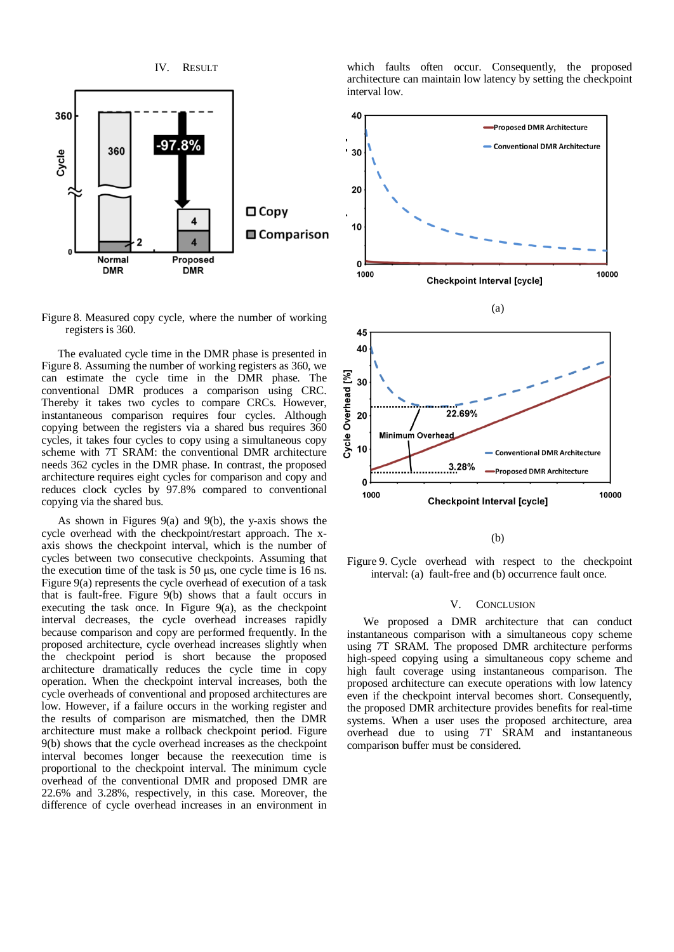

Figure 8. Measured copy cycle, where the number of working registers is 360.

The evaluated cycle time in the DMR phase is presented in Figure 8. Assuming the number of working registers as 360, we can estimate the cycle time in the DMR phase. The conventional DMR produces a comparison using CRC. Thereby it takes two cycles to compare CRCs. However, instantaneous comparison requires four cycles. Although copying between the registers via a shared bus requires 360 cycles, it takes four cycles to copy using a simultaneous copy scheme with 7T SRAM: the conventional DMR architecture needs 362 cycles in the DMR phase. In contrast, the proposed architecture requires eight cycles for comparison and copy and reduces clock cycles by 97.8% compared to conventional copying via the shared bus.

As shown in Figures 9(a) and 9(b), the y-axis shows the cycle overhead with the checkpoint/restart approach. The xaxis shows the checkpoint interval, which is the number of cycles between two consecutive checkpoints. Assuming that the execution time of the task is 50 μs, one cycle time is 16 ns. Figure 9(a) represents the cycle overhead of execution of a task that is fault-free. Figure 9(b) shows that a fault occurs in executing the task once. In Figure 9(a), as the checkpoint interval decreases, the cycle overhead increases rapidly because comparison and copy are performed frequently. In the proposed architecture, cycle overhead increases slightly when the checkpoint period is short because the proposed architecture dramatically reduces the cycle time in copy operation. When the checkpoint interval increases, both the cycle overheads of conventional and proposed architectures are low. However, if a failure occurs in the working register and the results of comparison are mismatched, then the DMR architecture must make a rollback checkpoint period. Figure 9(b) shows that the cycle overhead increases as the checkpoint interval becomes longer because the reexecution time is proportional to the checkpoint interval. The minimum cycle overhead of the conventional DMR and proposed DMR are 22.6% and 3.28%, respectively, in this case. Moreover, the difference of cycle overhead increases in an environment in which faults often occur. Consequently, the proposed architecture can maintain low latency by setting the checkpoint interval low.





(b)

Figure 9. Cycle overhead with respect to the checkpoint interval: (a) fault-free and (b) occurrence fault once.

#### V. CONCLUSION

We proposed a DMR architecture that can conduct instantaneous comparison with a simultaneous copy scheme using 7T SRAM. The proposed DMR architecture performs high-speed copying using a simultaneous copy scheme and high fault coverage using instantaneous comparison. The proposed architecture can execute operations with low latency even if the checkpoint interval becomes short. Consequently, the proposed DMR architecture provides benefits for real-time systems. When a user uses the proposed architecture, area overhead due to using 7T SRAM and instantaneous comparison buffer must be considered.